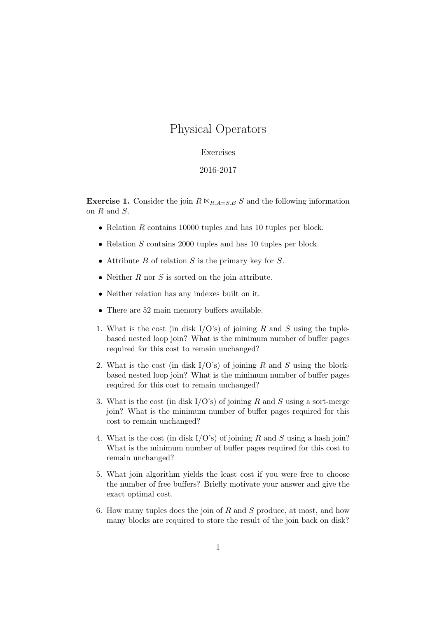## Physical Operators

## Exercises

## 2016-2017

**Exercise 1.** Consider the join  $R \Join_{R,A=S,B} S$  and the following information on R and S.

- Relation R contains 10000 tuples and has 10 tuples per block.
- Relation S contains 2000 tuples and has 10 tuples per block.
- Attribute  $B$  of relation  $S$  is the primary key for  $S$ .
- Neither  $R$  nor  $S$  is sorted on the join attribute.
- Neither relation has any indexes built on it.
- There are 52 main memory buffers available.
- 1. What is the cost (in disk  $I/O's$ ) of joining R and S using the tuplebased nested loop join? What is the minimum number of buffer pages required for this cost to remain unchanged?
- 2. What is the cost (in disk  $I/O's$ ) of joining R and S using the blockbased nested loop join? What is the minimum number of buffer pages required for this cost to remain unchanged?
- 3. What is the cost (in disk  $I/O's$ ) of joining R and S using a sort-merge join? What is the minimum number of buffer pages required for this cost to remain unchanged?
- 4. What is the cost (in disk  $I/O's$ ) of joining R and S using a hash join? What is the minimum number of buffer pages required for this cost to remain unchanged?
- 5. What join algorithm yields the least cost if you were free to choose the number of free buffers? Briefly motivate your answer and give the exact optimal cost.
- 6. How many tuples does the join of  $R$  and  $S$  produce, at most, and how many blocks are required to store the result of the join back on disk?